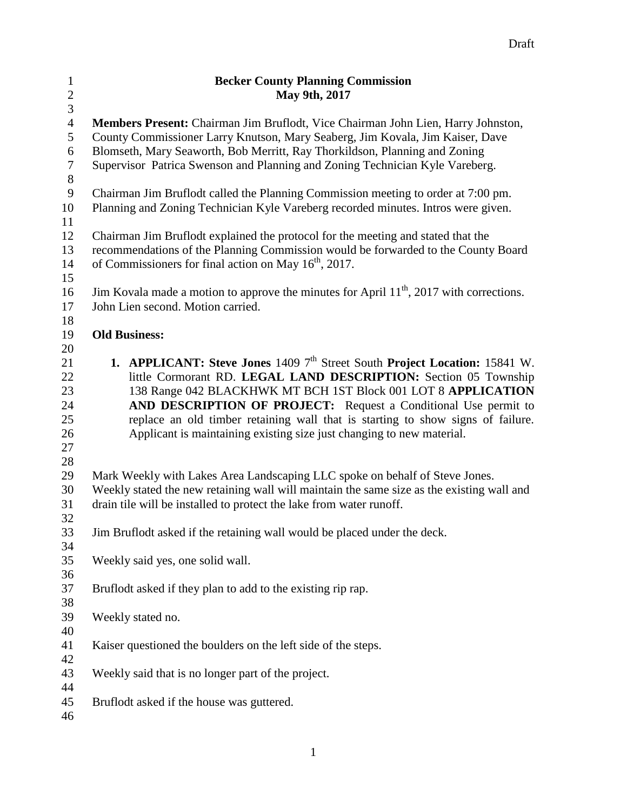| $\mathbf{1}$            | <b>Becker County Planning Commission</b>                                                  |  |  |
|-------------------------|-------------------------------------------------------------------------------------------|--|--|
| $\overline{\mathbf{c}}$ | May 9th, 2017                                                                             |  |  |
| $\overline{3}$          |                                                                                           |  |  |
| $\overline{4}$          | Members Present: Chairman Jim Bruflodt, Vice Chairman John Lien, Harry Johnston,          |  |  |
| 5                       | County Commissioner Larry Knutson, Mary Seaberg, Jim Kovala, Jim Kaiser, Dave             |  |  |
| $\sqrt{6}$              | Blomseth, Mary Seaworth, Bob Merritt, Ray Thorkildson, Planning and Zoning                |  |  |
| $\boldsymbol{7}$        | Supervisor Patrica Swenson and Planning and Zoning Technician Kyle Vareberg.              |  |  |
| $8\,$                   |                                                                                           |  |  |
| $\overline{9}$          | Chairman Jim Bruflodt called the Planning Commission meeting to order at 7:00 pm.         |  |  |
| 10                      | Planning and Zoning Technician Kyle Vareberg recorded minutes. Intros were given.         |  |  |
| 11                      |                                                                                           |  |  |
| 12                      | Chairman Jim Bruflodt explained the protocol for the meeting and stated that the          |  |  |
| 13                      | recommendations of the Planning Commission would be forwarded to the County Board         |  |  |
| 14                      | of Commissioners for final action on May 16 <sup>th</sup> , 2017.                         |  |  |
| 15                      |                                                                                           |  |  |
| 16                      | Jim Kovala made a motion to approve the minutes for April $11th$ , 2017 with corrections. |  |  |
| 17                      | John Lien second. Motion carried.                                                         |  |  |
| 18                      |                                                                                           |  |  |
| 19                      | <b>Old Business:</b>                                                                      |  |  |
| 20                      |                                                                                           |  |  |
| 21                      | <b>1. APPLICANT: Steve Jones</b> 1409 $7th$ Street South Project Location: 15841 W.       |  |  |
| 22                      | little Cormorant RD. LEGAL LAND DESCRIPTION: Section 05 Township                          |  |  |
| 23                      | 138 Range 042 BLACKHWK MT BCH 1ST Block 001 LOT 8 APPLICATION                             |  |  |
| 24                      | AND DESCRIPTION OF PROJECT: Request a Conditional Use permit to                           |  |  |
| 25                      | replace an old timber retaining wall that is starting to show signs of failure.           |  |  |
| 26                      | Applicant is maintaining existing size just changing to new material.                     |  |  |
| 27                      |                                                                                           |  |  |
| 28<br>29                | Mark Weekly with Lakes Area Landscaping LLC spoke on behalf of Steve Jones.               |  |  |
| 30                      | Weekly stated the new retaining wall will maintain the same size as the existing wall and |  |  |
| 31                      | drain tile will be installed to protect the lake from water runoff.                       |  |  |
| 32                      |                                                                                           |  |  |
| 33                      | Jim Bruflodt asked if the retaining wall would be placed under the deck.                  |  |  |
| 34                      |                                                                                           |  |  |
| 35                      | Weekly said yes, one solid wall.                                                          |  |  |
| 36                      |                                                                                           |  |  |
| 37                      | Bruflodt asked if they plan to add to the existing rip rap.                               |  |  |
| 38                      |                                                                                           |  |  |
| 39                      | Weekly stated no.                                                                         |  |  |
| 40                      |                                                                                           |  |  |
| 41                      | Kaiser questioned the boulders on the left side of the steps.                             |  |  |
| 42                      |                                                                                           |  |  |
| 43                      | Weekly said that is no longer part of the project.                                        |  |  |
| 44                      |                                                                                           |  |  |
| 45                      | Bruflodt asked if the house was guttered.                                                 |  |  |
| 46                      |                                                                                           |  |  |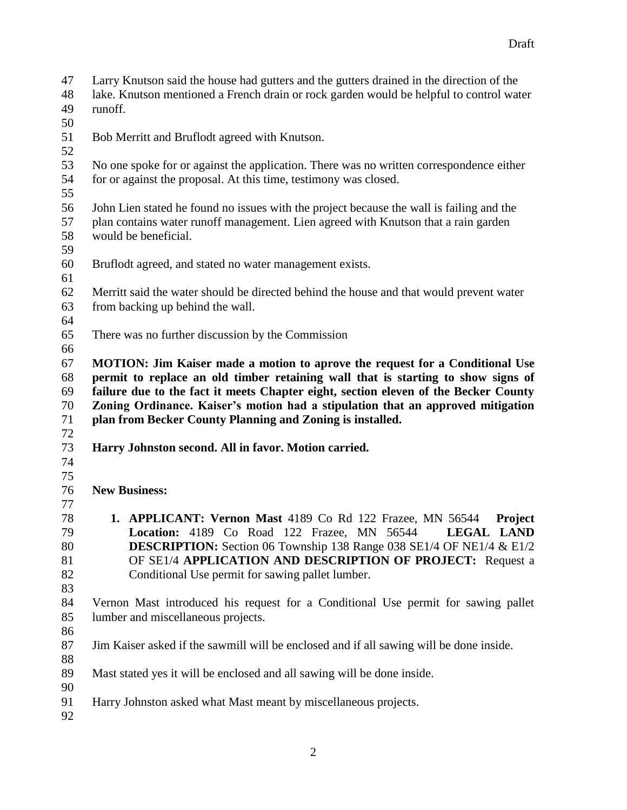Larry Knutson said the house had gutters and the gutters drained in the direction of the lake. Knutson mentioned a French drain or rock garden would be helpful to control water runoff. Bob Merritt and Bruflodt agreed with Knutson. No one spoke for or against the application. There was no written correspondence either for or against the proposal. At this time, testimony was closed. John Lien stated he found no issues with the project because the wall is failing and the plan contains water runoff management. Lien agreed with Knutson that a rain garden would be beneficial. Bruflodt agreed, and stated no water management exists. Merritt said the water should be directed behind the house and that would prevent water from backing up behind the wall. There was no further discussion by the Commission **MOTION: Jim Kaiser made a motion to aprove the request for a Conditional Use permit to replace an old timber retaining wall that is starting to show signs of failure due to the fact it meets Chapter eight, section eleven of the Becker County Zoning Ordinance. Kaiser's motion had a stipulation that an approved mitigation plan from Becker County Planning and Zoning is installed. Harry Johnston second. All in favor. Motion carried. New Business: 1. APPLICANT: Vernon Mast** 4189 Co Rd 122 Frazee, MN 56544 **Project Location:** 4189 Co Road 122 Frazee, MN 56544 **LEGAL LAND DESCRIPTION:** Section 06 Township 138 Range 038 SE1/4 OF NE1/4 & E1/2 OF SE1/4 **APPLICATION AND DESCRIPTION OF PROJECT:** Request a Conditional Use permit for sawing pallet lumber. Vernon Mast introduced his request for a Conditional Use permit for sawing pallet lumber and miscellaneous projects. Jim Kaiser asked if the sawmill will be enclosed and if all sawing will be done inside. Mast stated yes it will be enclosed and all sawing will be done inside. Harry Johnston asked what Mast meant by miscellaneous projects.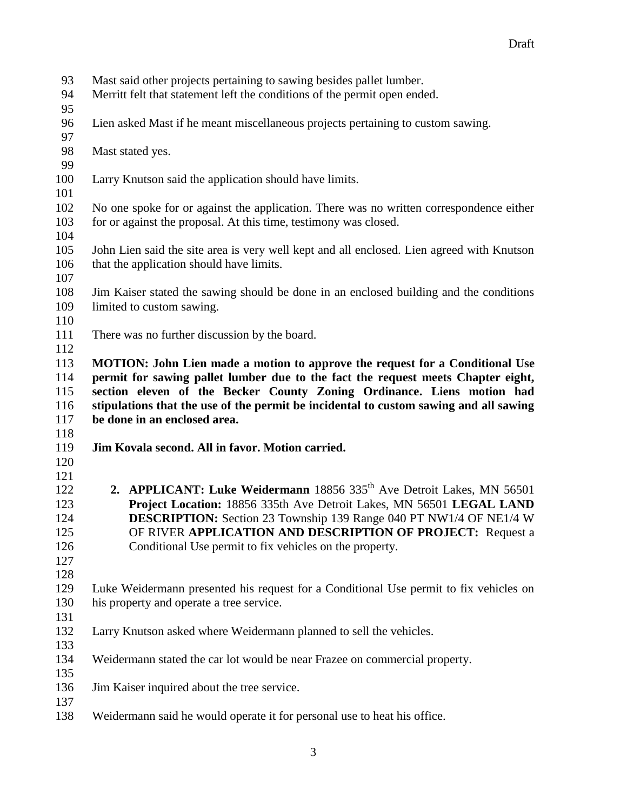- Mast said other projects pertaining to sawing besides pallet lumber.
- Merritt felt that statement left the conditions of the permit open ended.
- 
- Lien asked Mast if he meant miscellaneous projects pertaining to custom sawing.
- Mast stated yes.
- 
- Larry Knutson said the application should have limits.
- 

 No one spoke for or against the application. There was no written correspondence either for or against the proposal. At this time, testimony was closed.

- 
- John Lien said the site area is very well kept and all enclosed. Lien agreed with Knutson that the application should have limits.
- 
- Jim Kaiser stated the sawing should be done in an enclosed building and the conditions limited to custom sawing.
- 
- There was no further discussion by the board.

 **MOTION: John Lien made a motion to approve the request for a Conditional Use permit for sawing pallet lumber due to the fact the request meets Chapter eight, section eleven of the Becker County Zoning Ordinance. Liens motion had stipulations that the use of the permit be incidental to custom sawing and all sawing be done in an enclosed area.**

- **Jim Kovala second. All in favor. Motion carried.**
- 

- **2. APPLICANT: Luke Weidermann** 18856 335<sup>th</sup> Ave Detroit Lakes, MN 56501 **Project Location:** 18856 335th Ave Detroit Lakes, MN 56501 **LEGAL LAND DESCRIPTION:** Section 23 Township 139 Range 040 PT NW1/4 OF NE1/4 W OF RIVER **APPLICATION AND DESCRIPTION OF PROJECT:** Request a Conditional Use permit to fix vehicles on the property.
- 

- Luke Weidermann presented his request for a Conditional Use permit to fix vehicles on his property and operate a tree service.
- Larry Knutson asked where Weidermann planned to sell the vehicles.
- Weidermann stated the car lot would be near Frazee on commercial property.
- Jim Kaiser inquired about the tree service.
- Weidermann said he would operate it for personal use to heat his office.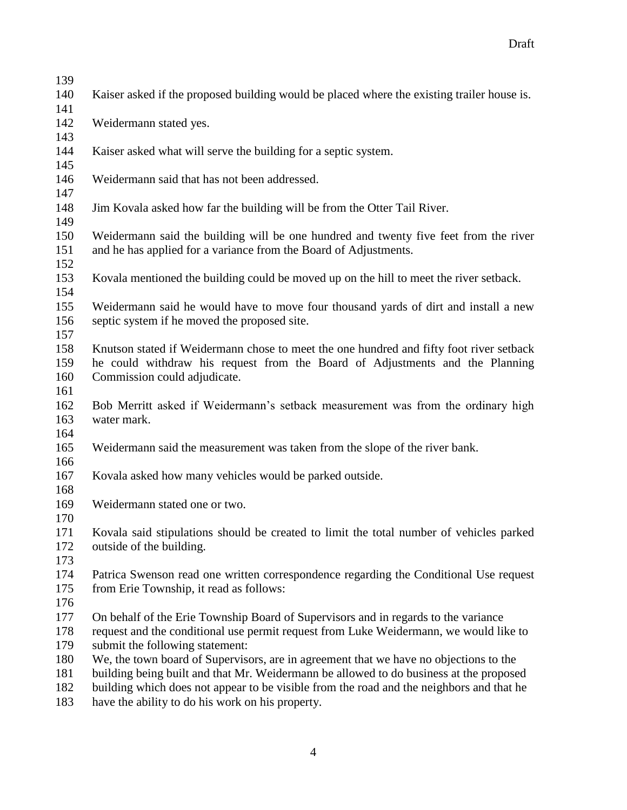| 139        |                                                                                                                                                                                 |  |  |
|------------|---------------------------------------------------------------------------------------------------------------------------------------------------------------------------------|--|--|
| 140        | Kaiser asked if the proposed building would be placed where the existing trailer house is.                                                                                      |  |  |
| 141        |                                                                                                                                                                                 |  |  |
| 142        | Weidermann stated yes.                                                                                                                                                          |  |  |
| 143        |                                                                                                                                                                                 |  |  |
| 144        | Kaiser asked what will serve the building for a septic system.                                                                                                                  |  |  |
| 145        |                                                                                                                                                                                 |  |  |
| 146        | Weidermann said that has not been addressed.                                                                                                                                    |  |  |
| 147        |                                                                                                                                                                                 |  |  |
| 148        | Jim Kovala asked how far the building will be from the Otter Tail River.                                                                                                        |  |  |
| 149        |                                                                                                                                                                                 |  |  |
| 150        | Weidermann said the building will be one hundred and twenty five feet from the river                                                                                            |  |  |
| 151        | and he has applied for a variance from the Board of Adjustments.                                                                                                                |  |  |
| 152        |                                                                                                                                                                                 |  |  |
| 153        | Kovala mentioned the building could be moved up on the hill to meet the river setback.                                                                                          |  |  |
| 154        |                                                                                                                                                                                 |  |  |
| 155        | Weidermann said he would have to move four thousand yards of dirt and install a new                                                                                             |  |  |
| 156        | septic system if he moved the proposed site.                                                                                                                                    |  |  |
| 157        |                                                                                                                                                                                 |  |  |
| 158        | Knutson stated if Weidermann chose to meet the one hundred and fifty foot river setback                                                                                         |  |  |
| 159        | he could withdraw his request from the Board of Adjustments and the Planning                                                                                                    |  |  |
| 160        | Commission could adjudicate.                                                                                                                                                    |  |  |
| 161        |                                                                                                                                                                                 |  |  |
| 162        | Bob Merritt asked if Weidermann's setback measurement was from the ordinary high                                                                                                |  |  |
| 163        | water mark.                                                                                                                                                                     |  |  |
| 164        |                                                                                                                                                                                 |  |  |
| 165        | Weidermann said the measurement was taken from the slope of the river bank.                                                                                                     |  |  |
| 166        |                                                                                                                                                                                 |  |  |
| 167        | Kovala asked how many vehicles would be parked outside.                                                                                                                         |  |  |
| 168        |                                                                                                                                                                                 |  |  |
| 169        | Weidermann stated one or two.                                                                                                                                                   |  |  |
| 170        |                                                                                                                                                                                 |  |  |
| 171        | Kovala said stipulations should be created to limit the total number of vehicles parked                                                                                         |  |  |
| 172        | outside of the building.                                                                                                                                                        |  |  |
| 173        |                                                                                                                                                                                 |  |  |
| 174        | Patrica Swenson read one written correspondence regarding the Conditional Use request                                                                                           |  |  |
| 175        | from Erie Township, it read as follows:                                                                                                                                         |  |  |
| 176        |                                                                                                                                                                                 |  |  |
| 177<br>178 | On behalf of the Erie Township Board of Supervisors and in regards to the variance                                                                                              |  |  |
|            | request and the conditional use permit request from Luke Weidermann, we would like to                                                                                           |  |  |
| 179<br>180 | submit the following statement:                                                                                                                                                 |  |  |
| 181        | We, the town board of Supervisors, are in agreement that we have no objections to the<br>building being built and that Mr. Weidermann be allowed to do business at the proposed |  |  |
| 182        |                                                                                                                                                                                 |  |  |
|            | building which does not appear to be visible from the road and the neighbors and that he                                                                                        |  |  |

have the ability to do his work on his property.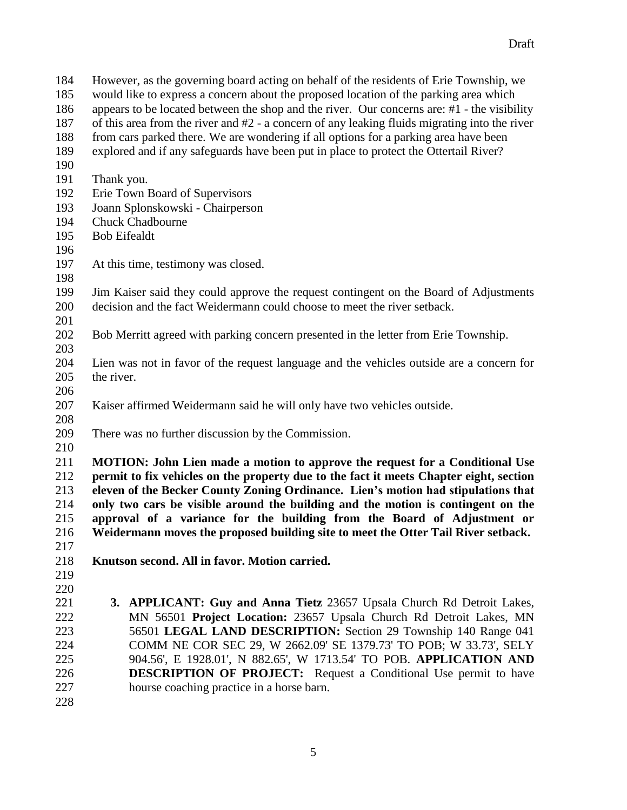- However, as the governing board acting on behalf of the residents of Erie Township, we would like to express a concern about the proposed location of the parking area which
- appears to be located between the shop and the river. Our concerns are: #1 the visibility
- of this area from the river and #2 a concern of any leaking fluids migrating into the river
- from cars parked there. We are wondering if all options for a parking area have been
- explored and if any safeguards have been put in place to protect the Ottertail River?
- 
- Thank you.
- Erie Town Board of Supervisors
- Joann Splonskowski Chairperson
- Chuck Chadbourne
- Bob Eifealdt
- At this time, testimony was closed.
- 
- Jim Kaiser said they could approve the request contingent on the Board of Adjustments decision and the fact Weidermann could choose to meet the river setback.
- Bob Merritt agreed with parking concern presented in the letter from Erie Township.
- Lien was not in favor of the request language and the vehicles outside are a concern for the river.
- 
- Kaiser affirmed Weidermann said he will only have two vehicles outside.
- There was no further discussion by the Commission.
- 

 **MOTION: John Lien made a motion to approve the request for a Conditional Use permit to fix vehicles on the property due to the fact it meets Chapter eight, section eleven of the Becker County Zoning Ordinance. Lien's motion had stipulations that only two cars be visible around the building and the motion is contingent on the approval of a variance for the building from the Board of Adjustment or Weidermann moves the proposed building site to meet the Otter Tail River setback.**

- **Knutson second. All in favor. Motion carried.**
- 

- 
- **3. APPLICANT: Guy and Anna Tietz** 23657 Upsala Church Rd Detroit Lakes, MN 56501 **Project Location:** 23657 Upsala Church Rd Detroit Lakes, MN 56501 **LEGAL LAND DESCRIPTION:** Section 29 Township 140 Range 041 COMM NE COR SEC 29, W 2662.09' SE 1379.73' TO POB; W 33.73', SELY 904.56', E 1928.01', N 882.65', W 1713.54' TO POB. **APPLICATION AND DESCRIPTION OF PROJECT:** Request a Conditional Use permit to have hourse coaching practice in a horse barn.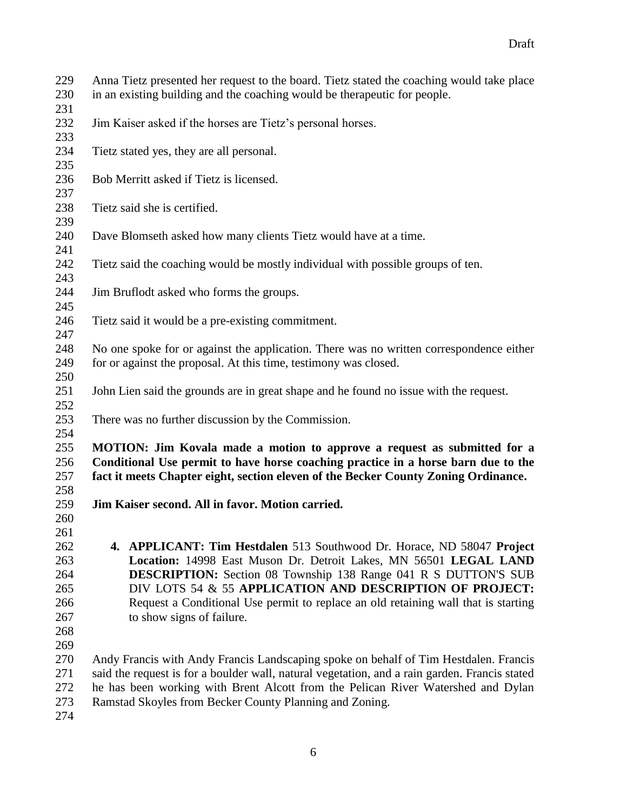Anna Tietz presented her request to the board. Tietz stated the coaching would take place in an existing building and the coaching would be therapeutic for people. Jim Kaiser asked if the horses are Tietz's personal horses. 

- Tietz stated yes, they are all personal.
- Bob Merritt asked if Tietz is licensed.
- Tietz said she is certified.
- Dave Blomseth asked how many clients Tietz would have at a time.
- Tietz said the coaching would be mostly individual with possible groups of ten.
- Jim Bruflodt asked who forms the groups.
- Tietz said it would be a pre-existing commitment.
- No one spoke for or against the application. There was no written correspondence either for or against the proposal. At this time, testimony was closed.
- John Lien said the grounds are in great shape and he found no issue with the request.
- There was no further discussion by the Commission.

## **MOTION: Jim Kovala made a motion to approve a request as submitted for a Conditional Use permit to have horse coaching practice in a horse barn due to the fact it meets Chapter eight, section eleven of the Becker County Zoning Ordinance.**

- **Jim Kaiser second. All in favor. Motion carried.**
- 

 **4. APPLICANT: Tim Hestdalen** 513 Southwood Dr. Horace, ND 58047 **Project Location:** 14998 East Muson Dr. Detroit Lakes, MN 56501 **LEGAL LAND DESCRIPTION:** Section 08 Township 138 Range 041 R S DUTTON'S SUB DIV LOTS 54 & 55 **APPLICATION AND DESCRIPTION OF PROJECT:**  Request a Conditional Use permit to replace an old retaining wall that is starting to show signs of failure.

- 
- 

 Andy Francis with Andy Francis Landscaping spoke on behalf of Tim Hestdalen. Francis said the request is for a boulder wall, natural vegetation, and a rain garden. Francis stated he has been working with Brent Alcott from the Pelican River Watershed and Dylan Ramstad Skoyles from Becker County Planning and Zoning.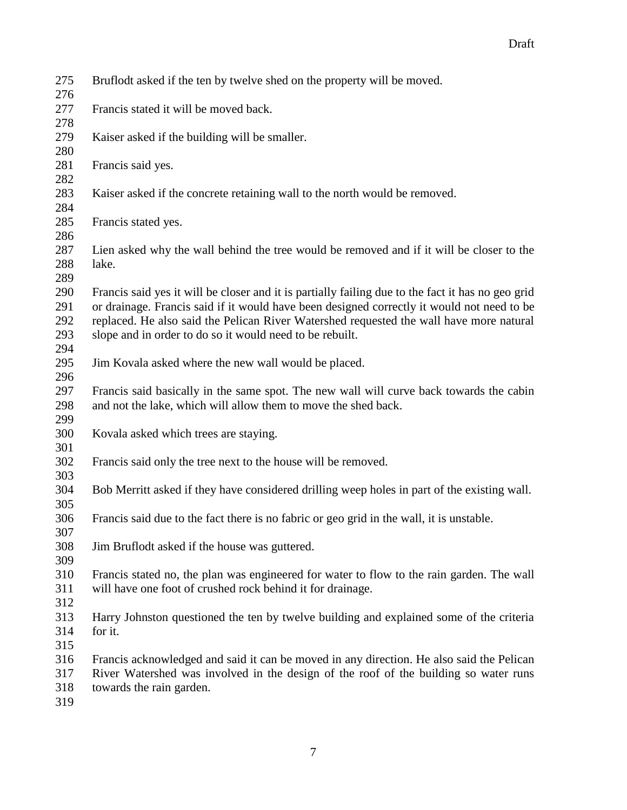| 275<br>276                      | Bruflodt asked if the ten by twelve shed on the property will be moved.                                                                                                                                                                                                                                                                                |
|---------------------------------|--------------------------------------------------------------------------------------------------------------------------------------------------------------------------------------------------------------------------------------------------------------------------------------------------------------------------------------------------------|
| 277<br>278                      | Francis stated it will be moved back.                                                                                                                                                                                                                                                                                                                  |
| 279<br>280                      | Kaiser asked if the building will be smaller.                                                                                                                                                                                                                                                                                                          |
| 281<br>282                      | Francis said yes.                                                                                                                                                                                                                                                                                                                                      |
| 283<br>284                      | Kaiser asked if the concrete retaining wall to the north would be removed.                                                                                                                                                                                                                                                                             |
| 285<br>286                      | Francis stated yes.                                                                                                                                                                                                                                                                                                                                    |
| 287<br>288<br>289               | Lien asked why the wall behind the tree would be removed and if it will be closer to the<br>lake.                                                                                                                                                                                                                                                      |
| 290<br>291<br>292<br>293<br>294 | Francis said yes it will be closer and it is partially failing due to the fact it has no geo grid<br>or drainage. Francis said if it would have been designed correctly it would not need to be<br>replaced. He also said the Pelican River Watershed requested the wall have more natural<br>slope and in order to do so it would need to be rebuilt. |
| 295<br>296                      | Jim Kovala asked where the new wall would be placed.                                                                                                                                                                                                                                                                                                   |
| 297<br>298<br>299               | Francis said basically in the same spot. The new wall will curve back towards the cabin<br>and not the lake, which will allow them to move the shed back.                                                                                                                                                                                              |
| 300<br>301                      | Kovala asked which trees are staying.                                                                                                                                                                                                                                                                                                                  |
| 302<br>303                      | Francis said only the tree next to the house will be removed.                                                                                                                                                                                                                                                                                          |
| 304<br>305                      | Bob Merritt asked if they have considered drilling weep holes in part of the existing wall.                                                                                                                                                                                                                                                            |
| 306<br>307                      | Francis said due to the fact there is no fabric or geo grid in the wall, it is unstable.                                                                                                                                                                                                                                                               |
| 308<br>309                      | Jim Bruflodt asked if the house was guttered.                                                                                                                                                                                                                                                                                                          |
| 310<br>311<br>312               | Francis stated no, the plan was engineered for water to flow to the rain garden. The wall<br>will have one foot of crushed rock behind it for drainage.                                                                                                                                                                                                |
| 313<br>314<br>315               | Harry Johnston questioned the ten by twelve building and explained some of the criteria<br>for it.                                                                                                                                                                                                                                                     |
| 316<br>317<br>318<br>319        | Francis acknowledged and said it can be moved in any direction. He also said the Pelican<br>River Watershed was involved in the design of the roof of the building so water runs<br>towards the rain garden.                                                                                                                                           |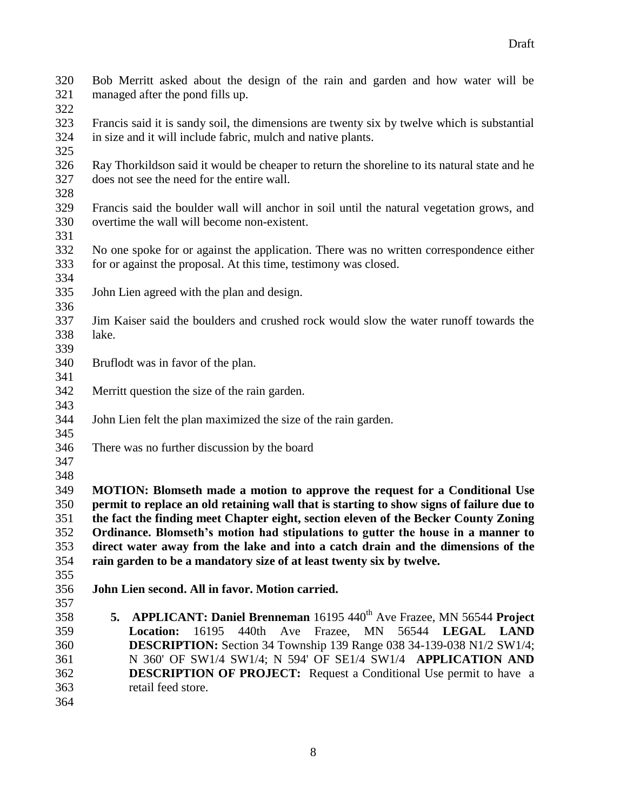| 320<br>321<br>322 | Bob Merritt asked about the design of the rain and garden and how water will be<br>managed after the pond fills up.                                         |  |  |
|-------------------|-------------------------------------------------------------------------------------------------------------------------------------------------------------|--|--|
| 323<br>324        | Francis said it is sandy soil, the dimensions are twenty six by twelve which is substantial<br>in size and it will include fabric, mulch and native plants. |  |  |
| 325               |                                                                                                                                                             |  |  |
| 326<br>327        | Ray Thorkildson said it would be cheaper to return the shoreline to its natural state and he<br>does not see the need for the entire wall.                  |  |  |
| 328<br>329        | Francis said the boulder wall will anchor in soil until the natural vegetation grows, and                                                                   |  |  |
| 330<br>331        | overtime the wall will become non-existent.                                                                                                                 |  |  |
| 332               | No one spoke for or against the application. There was no written correspondence either                                                                     |  |  |
| 333               | for or against the proposal. At this time, testimony was closed.                                                                                            |  |  |
| 334               |                                                                                                                                                             |  |  |
| 335<br>336        | John Lien agreed with the plan and design.                                                                                                                  |  |  |
| 337               | Jim Kaiser said the boulders and crushed rock would slow the water runoff towards the                                                                       |  |  |
| 338               | lake.                                                                                                                                                       |  |  |
| 339               |                                                                                                                                                             |  |  |
| 340               | Bruflodt was in favor of the plan.                                                                                                                          |  |  |
| 341               |                                                                                                                                                             |  |  |
| 342               | Merritt question the size of the rain garden.                                                                                                               |  |  |
| 343               |                                                                                                                                                             |  |  |
| 344               | John Lien felt the plan maximized the size of the rain garden.                                                                                              |  |  |
| 345<br>346        | There was no further discussion by the board                                                                                                                |  |  |
| 347               |                                                                                                                                                             |  |  |
| 348               |                                                                                                                                                             |  |  |
| 349               | MOTION: Blomseth made a motion to approve the request for a Conditional Use                                                                                 |  |  |
| 350               | permit to replace an old retaining wall that is starting to show signs of failure due to                                                                    |  |  |
| 351               | the fact the finding meet Chapter eight, section eleven of the Becker County Zoning                                                                         |  |  |
| 352               | Ordinance. Blomseth's motion had stipulations to gutter the house in a manner to                                                                            |  |  |
| 353               | direct water away from the lake and into a catch drain and the dimensions of the                                                                            |  |  |
| 354               | rain garden to be a mandatory size of at least twenty six by twelve.                                                                                        |  |  |
| 355               |                                                                                                                                                             |  |  |
| 356               | John Lien second. All in favor. Motion carried.                                                                                                             |  |  |
| 357               |                                                                                                                                                             |  |  |
| 358               | APPLICANT: Daniel Brenneman 16195 440 <sup>th</sup> Ave Frazee, MN 56544 Project<br>5.                                                                      |  |  |
| 359               | 440th<br>Ave<br>Frazee, MN<br>56544 LEGAL LAND<br>16195<br><b>Location:</b>                                                                                 |  |  |
| 360               | <b>DESCRIPTION:</b> Section 34 Township 139 Range 038 34-139-038 N1/2 SW1/4;                                                                                |  |  |
| 361               | N 360' OF SW1/4 SW1/4; N 594' OF SE1/4 SW1/4 APPLICATION AND                                                                                                |  |  |
| 362               | <b>DESCRIPTION OF PROJECT:</b> Request a Conditional Use permit to have a                                                                                   |  |  |
| 363               | retail feed store.                                                                                                                                          |  |  |
| 364               |                                                                                                                                                             |  |  |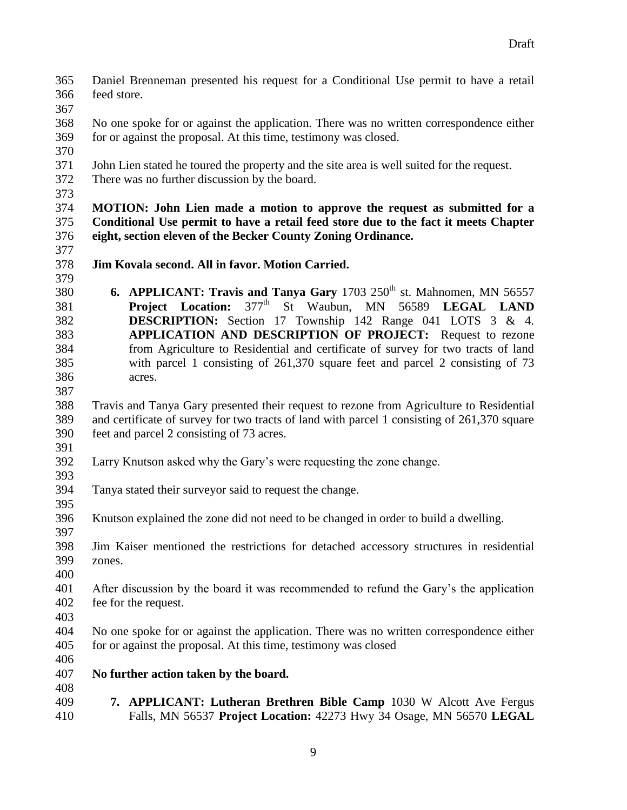feed store. No one spoke for or against the application. There was no written correspondence either for or against the proposal. At this time, testimony was closed. John Lien stated he toured the property and the site area is well suited for the request. There was no further discussion by the board. **MOTION: John Lien made a motion to approve the request as submitted for a Conditional Use permit to have a retail feed store due to the fact it meets Chapter eight, section eleven of the Becker County Zoning Ordinance. Jim Kovala second. All in favor. Motion Carried. 6. APPLICANT: Travis and Tanya Gary** 1703 250<sup>th</sup> st. Mahnomen, MN 56557 **Project Location:**  $377^{\text{th}}$  St Waubun, MN 56589 **LEGAL LAND** 

Daniel Brenneman presented his request for a Conditional Use permit to have a retail

- **DESCRIPTION:** Section 17 Township 142 Range 041 LOTS 3 & 4. **APPLICATION AND DESCRIPTION OF PROJECT:** Request to rezone from Agriculture to Residential and certificate of survey for two tracts of land with parcel 1 consisting of 261,370 square feet and parcel 2 consisting of 73 acres.
- 

 Travis and Tanya Gary presented their request to rezone from Agriculture to Residential and certificate of survey for two tracts of land with parcel 1 consisting of 261,370 square feet and parcel 2 consisting of 73 acres. 

- Larry Knutson asked why the Gary's were requesting the zone change.
- 

- Tanya stated their surveyor said to request the change.
- Knutson explained the zone did not need to be changed in order to build a dwelling.
- Jim Kaiser mentioned the restrictions for detached accessory structures in residential zones.
- 

 After discussion by the board it was recommended to refund the Gary's the application fee for the request.

- No one spoke for or against the application. There was no written correspondence either for or against the proposal. At this time, testimony was closed
- 

## **No further action taken by the board.**

 **7. APPLICANT: Lutheran Brethren Bible Camp** 1030 W Alcott Ave Fergus Falls, MN 56537 **Project Location:** 42273 Hwy 34 Osage, MN 56570 **LEGAL**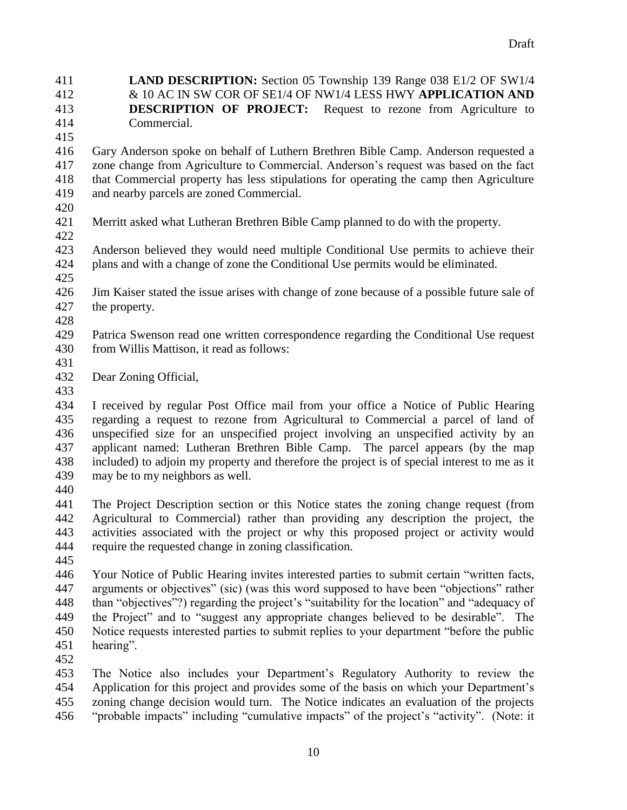**LAND DESCRIPTION:** Section 05 Township 139 Range 038 E1/2 OF SW1/4 & 10 AC IN SW COR OF SE1/4 OF NW1/4 LESS HWY **APPLICATION AND DESCRIPTION OF PROJECT:** Request to rezone from Agriculture to Commercial.

 Gary Anderson spoke on behalf of Luthern Brethren Bible Camp. Anderson requested a zone change from Agriculture to Commercial. Anderson's request was based on the fact that Commercial property has less stipulations for operating the camp then Agriculture and nearby parcels are zoned Commercial.

- 
- Merritt asked what Lutheran Brethren Bible Camp planned to do with the property.
- Anderson believed they would need multiple Conditional Use permits to achieve their plans and with a change of zone the Conditional Use permits would be eliminated.
- Jim Kaiser stated the issue arises with change of zone because of a possible future sale of the property.
- 

 Patrica Swenson read one written correspondence regarding the Conditional Use request from Willis Mattison, it read as follows:

- 
- Dear Zoning Official,
- 

 I received by regular Post Office mail from your office a Notice of Public Hearing regarding a request to rezone from Agricultural to Commercial a parcel of land of unspecified size for an unspecified project involving an unspecified activity by an applicant named: Lutheran Brethren Bible Camp. The parcel appears (by the map included) to adjoin my property and therefore the project is of special interest to me as it may be to my neighbors as well.

 The Project Description section or this Notice states the zoning change request (from Agricultural to Commercial) rather than providing any description the project, the activities associated with the project or why this proposed project or activity would require the requested change in zoning classification.

 Your Notice of Public Hearing invites interested parties to submit certain "written facts, arguments or objectives" (sic) (was this word supposed to have been "objections" rather than "objectives"?) regarding the project's "suitability for the location" and "adequacy of the Project" and to "suggest any appropriate changes believed to be desirable". The Notice requests interested parties to submit replies to your department "before the public hearing".

 The Notice also includes your Department's Regulatory Authority to review the Application for this project and provides some of the basis on which your Department's zoning change decision would turn. The Notice indicates an evaluation of the projects "probable impacts" including "cumulative impacts" of the project's "activity". (Note: it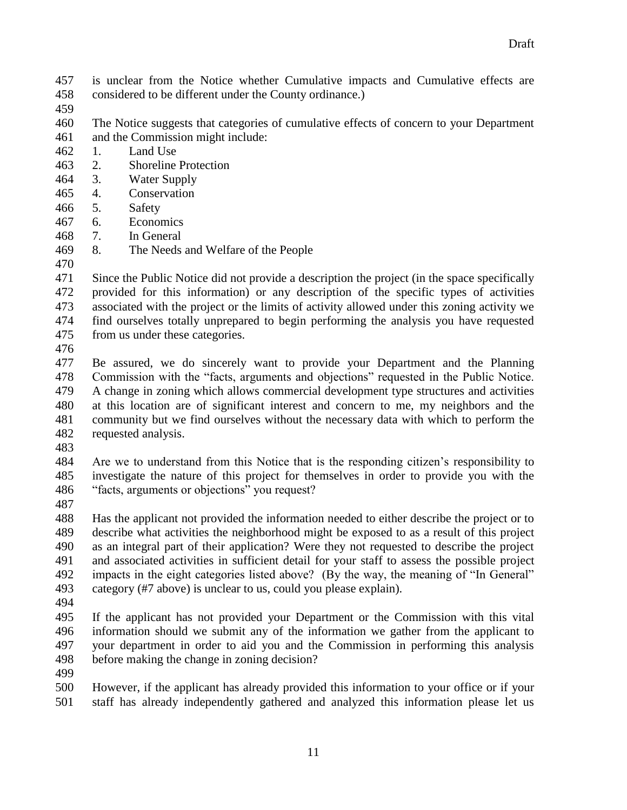- is unclear from the Notice whether Cumulative impacts and Cumulative effects are considered to be different under the County ordinance.)
- 
- The Notice suggests that categories of cumulative effects of concern to your Department and the Commission might include:
- 1. Land Use
- 2. Shoreline Protection
- 3. Water Supply
- 4. Conservation
- 5. Safety
- 6. Economics
- 7. In General
- 8. The Needs and Welfare of the People
- 

 Since the Public Notice did not provide a description the project (in the space specifically provided for this information) or any description of the specific types of activities associated with the project or the limits of activity allowed under this zoning activity we find ourselves totally unprepared to begin performing the analysis you have requested from us under these categories.

 Be assured, we do sincerely want to provide your Department and the Planning Commission with the "facts, arguments and objections" requested in the Public Notice. A change in zoning which allows commercial development type structures and activities at this location are of significant interest and concern to me, my neighbors and the community but we find ourselves without the necessary data with which to perform the requested analysis.

 Are we to understand from this Notice that is the responding citizen's responsibility to investigate the nature of this project for themselves in order to provide you with the "facts, arguments or objections" you request?

 Has the applicant not provided the information needed to either describe the project or to describe what activities the neighborhood might be exposed to as a result of this project as an integral part of their application? Were they not requested to describe the project and associated activities in sufficient detail for your staff to assess the possible project impacts in the eight categories listed above? (By the way, the meaning of "In General" category (#7 above) is unclear to us, could you please explain).

 If the applicant has not provided your Department or the Commission with this vital information should we submit any of the information we gather from the applicant to your department in order to aid you and the Commission in performing this analysis before making the change in zoning decision?

 However, if the applicant has already provided this information to your office or if your staff has already independently gathered and analyzed this information please let us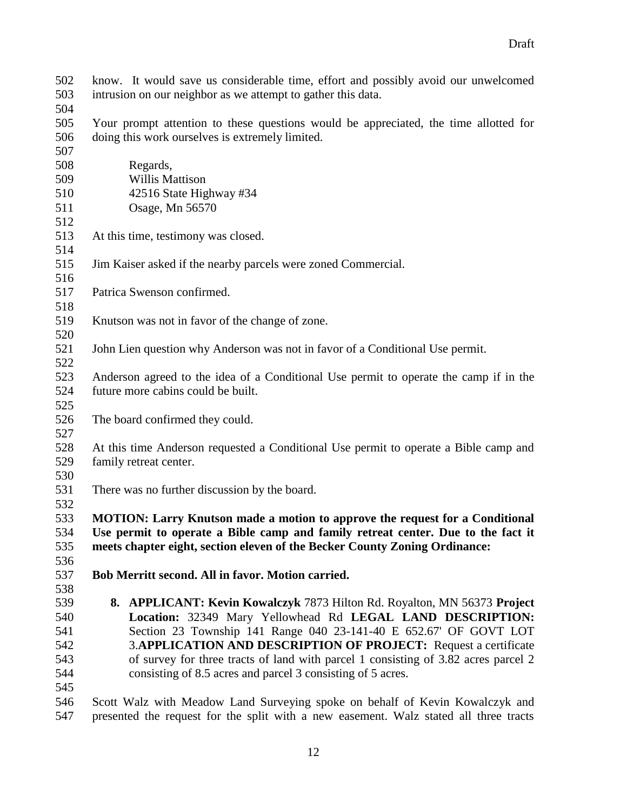know. It would save us considerable time, effort and possibly avoid our unwelcomed intrusion on our neighbor as we attempt to gather this data. Your prompt attention to these questions would be appreciated, the time allotted for doing this work ourselves is extremely limited. 508 Regards, 509 Willis Mattison 510 42516 State Highway #34 511 Osage, Mn 56570 At this time, testimony was closed. Jim Kaiser asked if the nearby parcels were zoned Commercial. Patrica Swenson confirmed. Knutson was not in favor of the change of zone. John Lien question why Anderson was not in favor of a Conditional Use permit. Anderson agreed to the idea of a Conditional Use permit to operate the camp if in the future more cabins could be built. The board confirmed they could. At this time Anderson requested a Conditional Use permit to operate a Bible camp and family retreat center. There was no further discussion by the board. **MOTION: Larry Knutson made a motion to approve the request for a Conditional Use permit to operate a Bible camp and family retreat center. Due to the fact it meets chapter eight, section eleven of the Becker County Zoning Ordinance: Bob Merritt second. All in favor. Motion carried. 8. APPLICANT: Kevin Kowalczyk** 7873 Hilton Rd. Royalton, MN 56373 **Project Location:** 32349 Mary Yellowhead Rd **LEGAL LAND DESCRIPTION:** Section 23 Township 141 Range 040 23-141-40 E 652.67' OF GOVT LOT 3.**APPLICATION AND DESCRIPTION OF PROJECT:** Request a certificate of survey for three tracts of land with parcel 1 consisting of 3.82 acres parcel 2 consisting of 8.5 acres and parcel 3 consisting of 5 acres. Scott Walz with Meadow Land Surveying spoke on behalf of Kevin Kowalczyk and

presented the request for the split with a new easement. Walz stated all three tracts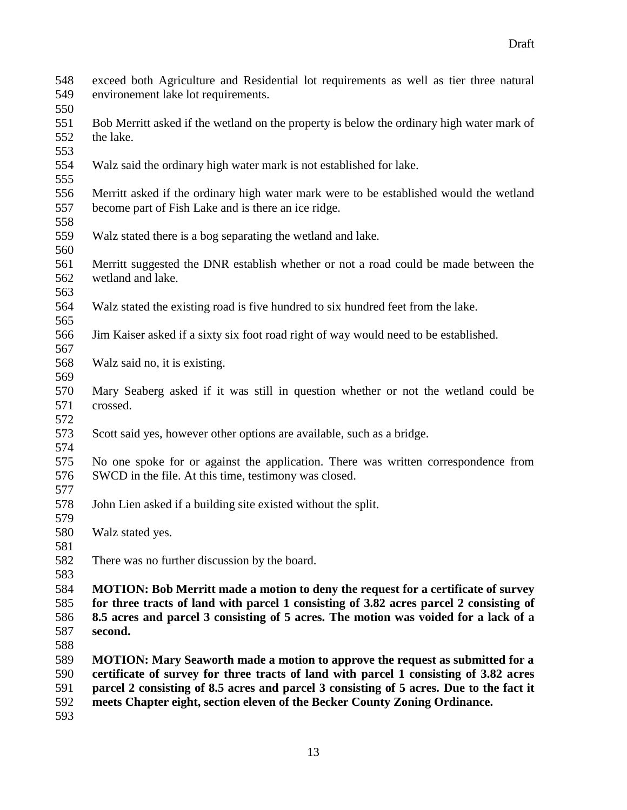- exceed both Agriculture and Residential lot requirements as well as tier three natural environement lake lot requirements. Bob Merritt asked if the wetland on the property is below the ordinary high water mark of the lake. Walz said the ordinary high water mark is not established for lake. Merritt asked if the ordinary high water mark were to be established would the wetland become part of Fish Lake and is there an ice ridge. Walz stated there is a bog separating the wetland and lake. Merritt suggested the DNR establish whether or not a road could be made between the wetland and lake. Walz stated the existing road is five hundred to six hundred feet from the lake. Jim Kaiser asked if a sixty six foot road right of way would need to be established. Walz said no, it is existing. Mary Seaberg asked if it was still in question whether or not the wetland could be crossed. Scott said yes, however other options are available, such as a bridge. No one spoke for or against the application. There was written correspondence from SWCD in the file. At this time, testimony was closed. John Lien asked if a building site existed without the split. Walz stated yes. There was no further discussion by the board. **MOTION: Bob Merritt made a motion to deny the request for a certificate of survey for three tracts of land with parcel 1 consisting of 3.82 acres parcel 2 consisting of 8.5 acres and parcel 3 consisting of 5 acres. The motion was voided for a lack of a second. MOTION: Mary Seaworth made a motion to approve the request as submitted for a certificate of survey for three tracts of land with parcel 1 consisting of 3.82 acres parcel 2 consisting of 8.5 acres and parcel 3 consisting of 5 acres. Due to the fact it meets Chapter eight, section eleven of the Becker County Zoning Ordinance.**
-